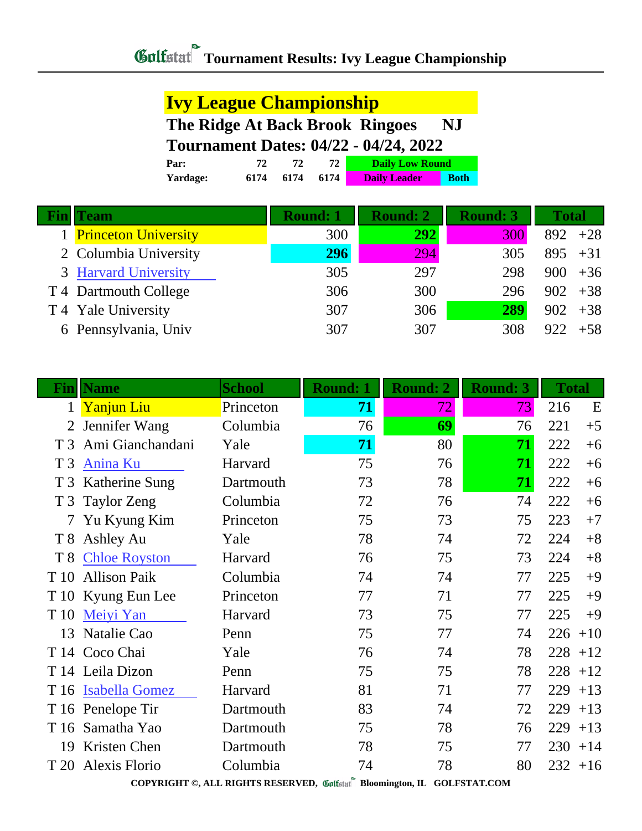## **Ivy League Championship**

**The Ridge At Back Brook Ringoes NJ Tournament Dates: 04/22 - 04/24, 2022**

| Par: |                  |      |      | <b>Daily Low Round</b> |             |
|------|------------------|------|------|------------------------|-------------|
|      | Yardage:<br>6174 | 6174 | 6174 | <b>Daily Leader</b>    | <b>Both</b> |

| Team                   | <b>Round: 1</b> | <b>Round: 2</b> | <b>Round: 3</b> | <b>Total</b> |
|------------------------|-----------------|-----------------|-----------------|--------------|
| 1 Princeton University | 300             | <b>292</b>      | 300             | $892 + 28$   |
| 2 Columbia University  | 296             | 294             | 305             | $895 + 31$   |
| 3 Harvard University   | 305             | 297             | 298             | $900 + 36$   |
| T 4 Dartmouth College  | 306             | 300             | 296             | $902 + 38$   |
| T 4 Yale University    | 307             | 306             | 289             | 902<br>$+38$ |
| 6 Pennsylvania, Univ   | 307             | 307             | 308             | 922<br>$+58$ |

|                                                                          | <b>Fin</b>   Name    | <b>School</b> | <b>Round: 1</b> | <b>Round: 2</b> | <b>Round: 3</b> | <b>Total</b> |
|--------------------------------------------------------------------------|----------------------|---------------|-----------------|-----------------|-----------------|--------------|
| $\mathbf{1}$                                                             | <b>Yanjun Liu</b>    | Princeton     | 71              | 72              | 73              | 216<br>E     |
| 2                                                                        | Jennifer Wang        | Columbia      | 76              | 69              | 76              | 221<br>$+5$  |
| T <sub>3</sub>                                                           | Ami Gianchandani     | Yale          | 71              | 80              | 71              | 222<br>$+6$  |
| T <sub>3</sub>                                                           | <b>Anina Ku</b>      | Harvard       | 75              | 76              | 71              | 222<br>$+6$  |
| T <sub>3</sub>                                                           | Katherine Sung       | Dartmouth     | 73              | 78              | 71              | 222<br>$+6$  |
| T <sub>3</sub>                                                           | Taylor Zeng          | Columbia      | 72              | 76              | 74              | 222<br>$+6$  |
| 7                                                                        | Yu Kyung Kim         | Princeton     | 75              | 73              | 75              | 223<br>$+7$  |
| T 8                                                                      | Ashley Au            | Yale          | 78              | 74              | 72              | 224<br>$+8$  |
| T <sub>8</sub>                                                           | <b>Chloe Royston</b> | Harvard       | 76              | 75              | 73              | 224<br>$+8$  |
| T 10                                                                     | <b>Allison Paik</b>  | Columbia      | 74              | 74              | 77              | 225<br>$+9$  |
| T 10                                                                     | Kyung Eun Lee        | Princeton     | 77              | 71              | 77              | 225<br>$+9$  |
| T 10                                                                     | Meiyi Yan            | Harvard       | 73              | 75              | 77              | 225<br>$+9$  |
| 13                                                                       | Natalie Cao          | Penn          | 75              | 77              | 74              | 226<br>$+10$ |
| T 14                                                                     | Coco Chai            | Yale          | 76              | 74              | 78              | 228<br>$+12$ |
|                                                                          | T 14 Leila Dizon     | Penn          | 75              | 75              | 78              | 228<br>$+12$ |
|                                                                          | T 16 Isabella Gomez  | Harvard       | 81              | 71              | 77              | 229<br>$+13$ |
|                                                                          | T 16 Penelope Tir    | Dartmouth     | 83              | 74              | 72              | 229<br>$+13$ |
|                                                                          | T 16 Samatha Yao     | Dartmouth     | 75              | 78              | 76              | 229<br>$+13$ |
| 19                                                                       | Kristen Chen         | Dartmouth     | 78              | 75              | 77              | 230<br>$+14$ |
| T 20                                                                     | Alexis Florio        | Columbia      | 74              | 78              | 80              | 232<br>$+16$ |
| COPYRIGHT ©, ALL RIGHTS RESERVED, Collecter Bloomington, IL GOLFSTAT.COM |                      |               |                 |                 |                 |              |